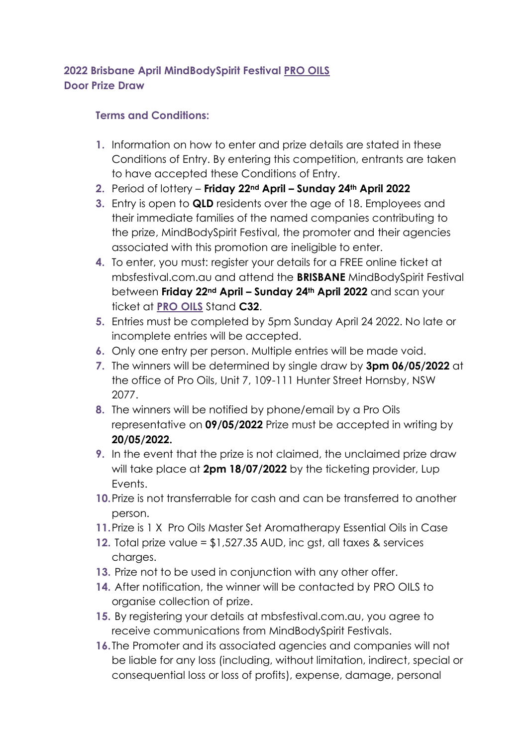## **2022 Brisbane April MindBodySpirit Festival PRO OILS Door Prize Draw**

## **Terms and Conditions:**

- **1.** Information on how to enter and prize details are stated in these Conditions of Entry. By entering this competition, entrants are taken to have accepted these Conditions of Entry.
- **2.** Period of lottery **Friday 22nd April – Sunday 24th April 2022**
- **3.** Entry is open to **QLD** residents over the age of 18. Employees and their immediate families of the named companies contributing to the prize, MindBodySpirit Festival, the promoter and their agencies associated with this promotion are ineligible to enter.
- **4.** To enter, you must: register your details for a FREE online ticket at mbsfestival.com.au and attend the **BRISBANE** MindBodySpirit Festival between **Friday 22nd April – Sunday 24th April 2022** and scan your ticket at **PRO OILS** Stand **C32**.
- **5.** Entries must be completed by 5pm Sunday April 24 2022. No late or incomplete entries will be accepted.
- **6.** Only one entry per person. Multiple entries will be made void.
- **7.** The winners will be determined by single draw by **3pm 06/05/2022** at the office of Pro Oils, Unit 7, 109-111 Hunter Street Hornsby, NSW 2077.
- **8.** The winners will be notified by phone/email by a Pro Oils representative on **09/05/2022** Prize must be accepted in writing by **20/05/2022.**
- **9.** In the event that the prize is not claimed, the unclaimed prize draw will take place at **2pm 18/07/2022** by the ticketing provider, Lup Events.
- **10.**Prize is not transferrable for cash and can be transferred to another person.
- **11.**Prize is 1 X Pro Oils Master Set Aromatherapy Essential Oils in Case
- **12.** Total prize value = \$1,527.35 AUD, inc gst, all taxes & services charges.
- **13.** Prize not to be used in conjunction with any other offer.
- **14.** After notification, the winner will be contacted by PRO OILS to organise collection of prize.
- **15.** By registering your details at mbsfestival.com.au, you agree to receive communications from MindBodySpirit Festivals.
- **16.**The Promoter and its associated agencies and companies will not be liable for any loss (including, without limitation, indirect, special or consequential loss or loss of profits), expense, damage, personal